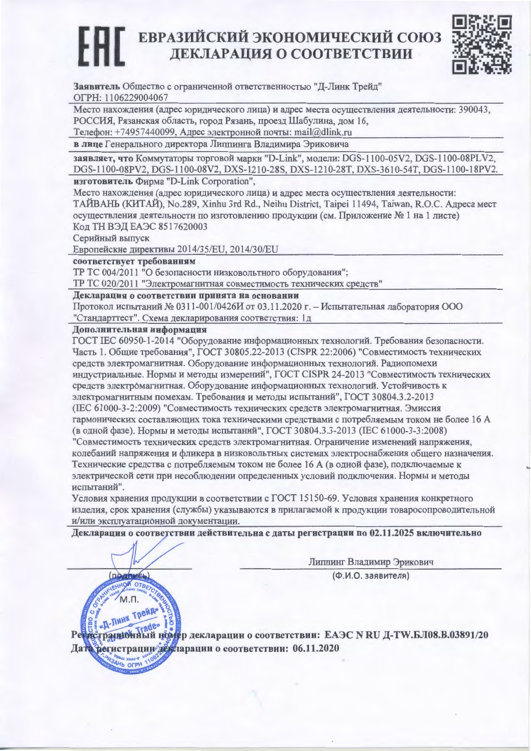# ЕВРАЗИЙСКИЙ ЭКОНОМИЧЕСКИЙ СОЮЗ ДЕКЛАРАЦИЯ О СООТВЕТСТВИИ



Заявитель Общество с ограниченной ответственностью "Д-Линк Трейд" ОГРН: 1106229004067

Место нахождения (адрес юридического лица) и адрес места осуществления деятельности: 390043, РОССИЯ, Рязанская область, город Рязань, проезд Шабулина, дом 16,

Телефон: +74957440099, Адрес электронной почты: mail@dlink.ru

в лице Генерального директора Липпинга Владимира Эриковича

заявляет, что Коммутаторы торговой марки "D-Link", модели: DGS-1100-05V2, DGS-1100-08PLV2, DGS-1100-08PV2, DGS-1100-08V2, DXS-1210-28S, DXS-1210-28T, DXS-3610-54T, DGS-1100-18PV2.

изготовитель Фирма "D-Link Corporation",

Место нахождения (адрес юридического лица) и адрес места осуществления деятельности: ТАЙВАНЬ (КИТАЙ), No.289, Xinhu 3rd Rd., Neihu District, Taipei 11494, Taiwan, R.O.C. Адреса мест осуществления деятельности по изготовлению продукции (см. Приложение № 1 на 1 листе) Код ТН ВЭД ЕАЭС 8517620003

Серийный выпуск

Европейские директивы 2014/35/EU, 2014/30/EU

соответствует требованиям

ТР ТС 004/2011 "О безопасности низковольтного оборудования";

ТР ТС 020/2011 "Электромагнитная совместимость технических средств"

Декларация о соответствии принята на основании

Протокол испытаний № 0311-001/0426И от 03.11.2020 г. – Испытательная лаборатория ООО "Стандарттест". Схема декларирования соответствия: 1д

Дополнительная информация

(**ПОДРИЕЬ**)

M<sub>n</sub>

AH<sub>b</sub> OFPH

OTE

ГОСТ ІЕС 60950-1-2014 "Оборудование информационных технологий. Требования безопасности. Часть 1. Общие требования", ГОСТ 30805.22-2013 (CISPR 22:2006) "Совместимость технических средств электромагнитная. Оборудование информационных технологий. Радиопомехи индустриальные. Нормы и методы измерений", ГОСТ CISPR 24-2013 "Совместимость технических средств электромагнитная. Оборудование информационных технологий. Устойчивость к электромагнитным помехам. Требования и методы испытаний", ГОСТ 30804.3.2-2013 (IEC 61000-3-2:2009) "Совместимость технических средств электромагнитная. Эмиссия гармонических составляющих тока техническими средствами с потребляемым током не более 16 А (в одной фазе). Нормы и методы испытаний", ГОСТ 30804.3.3-2013 (IEC 61000-3-3:2008) "Совместимость технических средств электромагнитная. Ограничение изменений напряжения, колебаний напряжения и фликера в низковольтных системах электроснабжения общего назначения. Технические средства с потребляемым током не более 16 А (в одной фазе), подключаемые к электрической сети при несоблюдении определенных условий подключения. Нормы и методы испытаний".

Условия хранения продукции в соответствии с ГОСТ 15150-69. Условия хранения конкретного изделия, срок хранения (службы) указываются в прилагаемой к продукции товаросопроводительной и/или эксплуатационной документации.

Декларация о соответствии действительна с даты регистрации по 02.11.2025 включительно

Липпинг Владимир Эрикович

(Ф.И.О. заявителя)

**Линк Трейд** Д-Лина<br>Ранновный ножер декларации о соответствии: ЕАЭС N RU Д-TW.Б.Л08.В.03891/20 Дата регистрации дертарации о соответствии: 06.11.2020